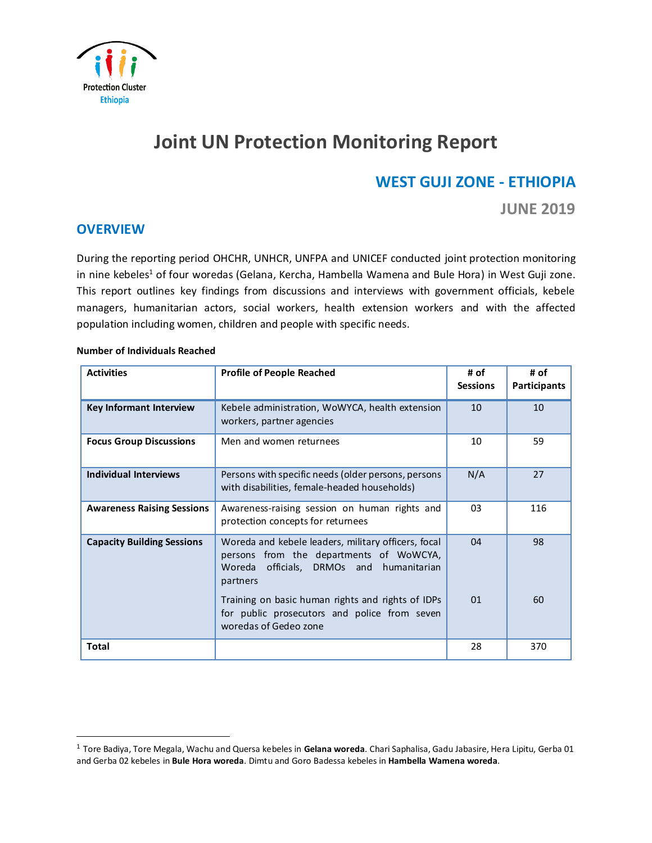

# **Joint UN Protection Monitoring Report**

## **WEST GUJI ZONE - ETHIOPIA**

**JUNE 2019** 

## **OVERVIEW**

 $\overline{a}$ 

During the reporting period OHCHR, UNHCR, UNFPA and UNICEF conducted joint protection monitoring in nine kebeles<sup>1</sup> of four woredas (Gelana, Kercha, Hambella Wamena and Bule Hora) in West Guji zone. This report outlines key findings from discussions and interviews with government officials, kebele managers, humanitarian actors, social workers, health extension workers and with the affected population including women, children and people with specific needs.

#### Activities **Profile of People Reached** # of **#** of **Sessions # of Participants Key Informant Interview** | Kebele administration, WoWYCA, health extension workers, partner agencies 10 10 **Focus Group Discussions** Men and women returnees 10 10 59 **Individual Interviews** Persons with specific needs (older persons, persons with disabilities, female-headed households)  $N/A$  27 **Awareness Raising Sessions** Awareness-raising session on human rights and protection concepts for returnees 03 116 **Capacity Building Sessions** Woreda and kebele leaders, military officers, focal persons from the departments of WoWCYA, Woreda officials, DRMOs and humanitarian partners Training on basic human rights and rights of IDPs for public prosecutors and police from seven woredas of Gedeo zone 04 01 98 60 **Total** 28 370

#### **Number of Individuals Reached**

<sup>1</sup> Tore Badiya, Tore Megala, Wachu and Quersa kebeles in **Gelana woreda**. Chari Saphalisa, Gadu Jabasire, Hera Lipitu, Gerba 01 and Gerba 02 kebeles in **Bule Hora woreda**. Dimtu and Goro Badessa kebeles in **Hambella Wamena woreda**.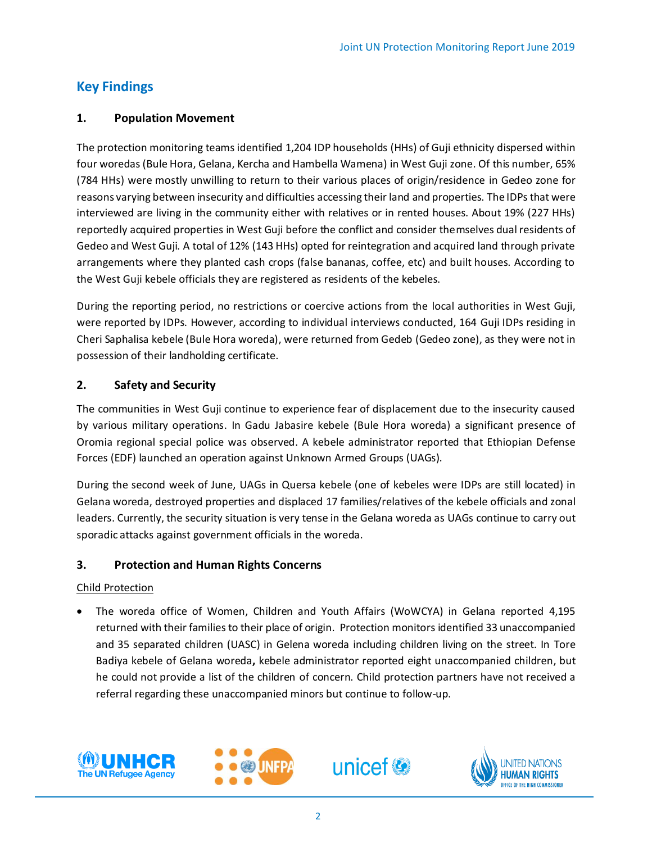## **Key Findings**

## **1. Population Movement**

The protection monitoring teams identified 1,204 IDP households (HHs) of Guji ethnicity dispersed within four woredas (Bule Hora, Gelana, Kercha and Hambella Wamena) in West Guji zone. Of this number, 65% (784 HHs) were mostly unwilling to return to their various places of origin/residence in Gedeo zone for reasons varying between insecurity and difficulties accessing their land and properties. The IDPs that were interviewed are living in the community either with relatives or in rented houses. About 19% (227 HHs) reportedly acquired properties in West Guji before the conflict and consider themselves dual residents of Gedeo and West Guji. A total of 12% (143 HHs) opted for reintegration and acquired land through private arrangements where they planted cash crops (false bananas, coffee, etc) and built houses. According to the West Guji kebele officials they are registered as residents of the kebeles.

During the reporting period, no restrictions or coercive actions from the local authorities in West Guji, were reported by IDPs. However, according to individual interviews conducted, 164 Guji IDPs residing in Cheri Saphalisa kebele (Bule Hora woreda), were returned from Gedeb (Gedeo zone), as they were not in possession of their landholding certificate.

## **2. Safety and Security**

The communities in West Guji continue to experience fear of displacement due to the insecurity caused by various military operations. In Gadu Jabasire kebele (Bule Hora woreda) a significant presence of Oromia regional special police was observed. A kebele administrator reported that Ethiopian Defense Forces (EDF) launched an operation against Unknown Armed Groups (UAGs).

During the second week of June, UAGs in Quersa kebele (one of kebeles were IDPs are still located) in Gelana woreda, destroyed properties and displaced 17 families/relatives of the kebele officials and zonal leaders. Currently, the security situation is very tense in the Gelana woreda as UAGs continue to carry out sporadic attacks against government officials in the woreda.

## **3. Protection and Human Rights Concerns**

## Child Protection

• The woreda office of Women, Children and Youth Affairs (WoWCYA) in Gelana reported 4,195 returned with their families to their place of origin. Protection monitors identified 33 unaccompanied and 35 separated children (UASC) in Gelena woreda including children living on the street. In Tore Badiya kebele of Gelana woreda**,** kebele administrator reported eight unaccompanied children, but he could not provide a list of the children of concern. Child protection partners have not received a referral regarding these unaccompanied minors but continue to follow-up.







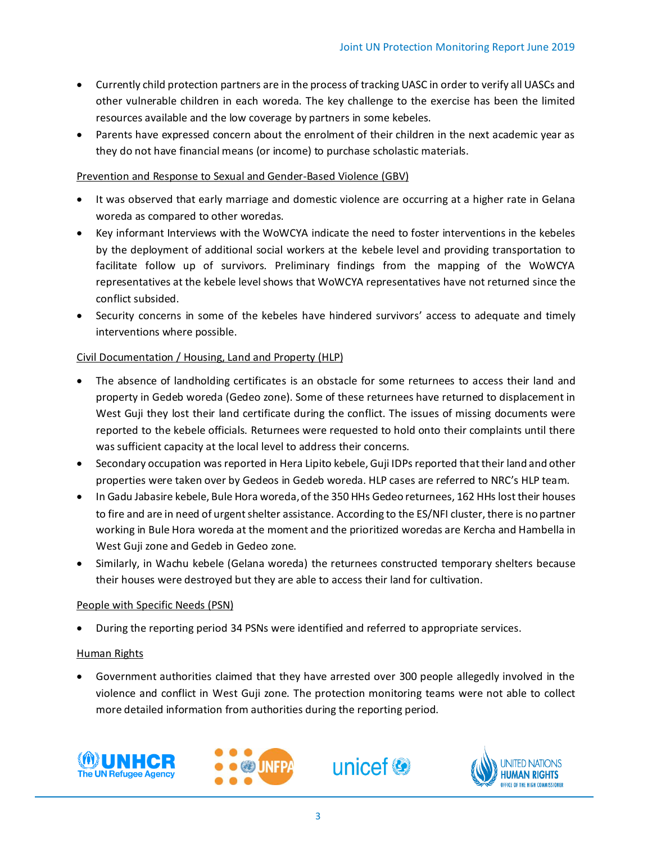- Currently child protection partners are in the process of tracking UASC in order to verify all UASCs and other vulnerable children in each woreda. The key challenge to the exercise has been the limited resources available and the low coverage by partners in some kebeles.
- Parents have expressed concern about the enrolment of their children in the next academic year as they do not have financial means (or income) to purchase scholastic materials.

#### Prevention and Response to Sexual and Gender-Based Violence (GBV)

- It was observed that early marriage and domestic violence are occurring at a higher rate in Gelana woreda as compared to other woredas.
- Key informant Interviews with the WoWCYA indicate the need to foster interventions in the kebeles by the deployment of additional social workers at the kebele level and providing transportation to facilitate follow up of survivors. Preliminary findings from the mapping of the WoWCYA representatives at the kebele level shows that WoWCYA representatives have not returned since the conflict subsided.
- Security concerns in some of the kebeles have hindered survivors' access to adequate and timely interventions where possible.

## Civil Documentation / Housing, Land and Property (HLP)

- The absence of landholding certificates is an obstacle for some returnees to access their land and property in Gedeb woreda (Gedeo zone). Some of these returnees have returned to displacement in West Guji they lost their land certificate during the conflict. The issues of missing documents were reported to the kebele officials. Returnees were requested to hold onto their complaints until there was sufficient capacity at the local level to address their concerns.
- Secondary occupation was reported in Hera Lipito kebele, Guji IDPs reported that their land and other properties were taken over by Gedeos in Gedeb woreda. HLP cases are referred to NRC's HLP team.
- In Gadu Jabasire kebele, Bule Hora woreda, of the 350 HHs Gedeo returnees, 162 HHs lost their houses to fire and are in need of urgent shelter assistance. According to the ES/NFI cluster, there is no partner working in Bule Hora woreda at the moment and the prioritized woredas are Kercha and Hambella in West Guji zone and Gedeb in Gedeo zone.
- Similarly, in Wachu kebele (Gelana woreda) the returnees constructed temporary shelters because their houses were destroyed but they are able to access their land for cultivation.

#### People with Specific Needs (PSN)

• During the reporting period 34 PSNs were identified and referred to appropriate services.

#### Human Rights

• Government authorities claimed that they have arrested over 300 people allegedly involved in the violence and conflict in West Guji zone. The protection monitoring teams were not able to collect more detailed information from authorities during the reporting period.







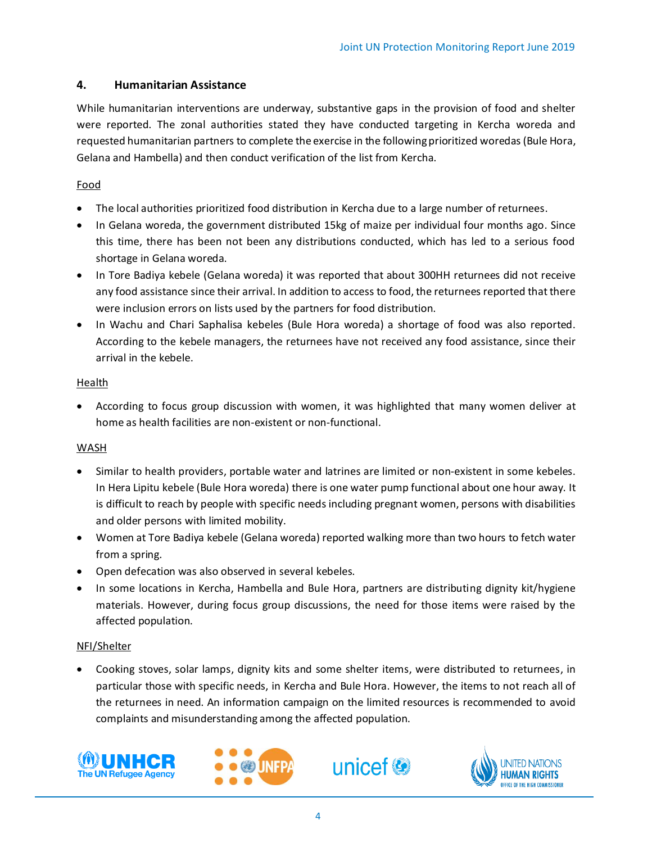## **4. Humanitarian Assistance**

While humanitarian interventions are underway, substantive gaps in the provision of food and shelter were reported. The zonal authorities stated they have conducted targeting in Kercha woreda and requested humanitarian partners to complete the exercise in the following prioritized woredas (Bule Hora, Gelana and Hambella) and then conduct verification of the list from Kercha.

## Food

- The local authorities prioritized food distribution in Kercha due to a large number of returnees.
- In Gelana woreda, the government distributed 15kg of maize per individual four months ago. Since this time, there has been not been any distributions conducted, which has led to a serious food shortage in Gelana woreda.
- In Tore Badiya kebele (Gelana woreda) it was reported that about 300HH returnees did not receive any food assistance since their arrival. In addition to access to food, the returnees reported that there were inclusion errors on lists used by the partners for food distribution.
- In Wachu and Chari Saphalisa kebeles (Bule Hora woreda) a shortage of food was also reported. According to the kebele managers, the returnees have not received any food assistance, since their arrival in the kebele.

## Health

• According to focus group discussion with women, it was highlighted that many women deliver at home as health facilities are non-existent or non-functional.

## WASH

- Similar to health providers, portable water and latrines are limited or non-existent in some kebeles. In Hera Lipitu kebele (Bule Hora woreda) there is one water pump functional about one hour away. It is difficult to reach by people with specific needs including pregnant women, persons with disabilities and older persons with limited mobility.
- Women at Tore Badiya kebele (Gelana woreda) reported walking more than two hours to fetch water from a spring.
- Open defecation was also observed in several kebeles.
- In some locations in Kercha, Hambella and Bule Hora, partners are distributing dignity kit/hygiene materials. However, during focus group discussions, the need for those items were raised by the affected population.

## NFI/Shelter

• Cooking stoves, solar lamps, dignity kits and some shelter items, were distributed to returnees, in particular those with specific needs, in Kercha and Bule Hora. However, the items to not reach all of the returnees in need. An information campaign on the limited resources is recommended to avoid complaints and misunderstanding among the affected population.







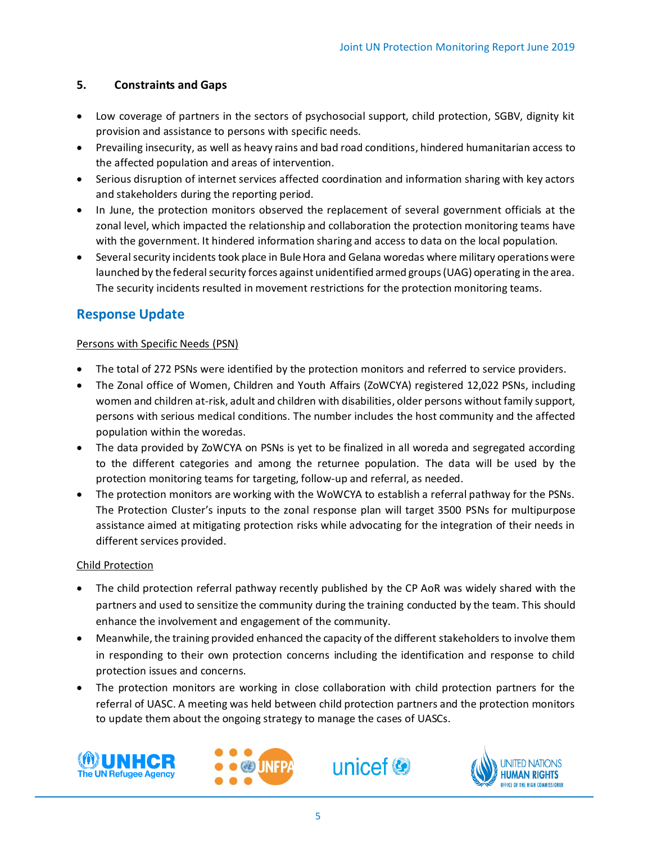## **5. Constraints and Gaps**

- Low coverage of partners in the sectors of psychosocial support, child protection, SGBV, dignity kit provision and assistance to persons with specific needs.
- Prevailing insecurity, as well as heavy rains and bad road conditions, hindered humanitarian access to the affected population and areas of intervention.
- Serious disruption of internet services affected coordination and information sharing with key actors and stakeholders during the reporting period.
- In June, the protection monitors observed the replacement of several government officials at the zonal level, which impacted the relationship and collaboration the protection monitoring teams have with the government. It hindered information sharing and access to data on the local population.
- Several security incidents took place in Bule Hora and Gelana woredas where military operations were launched by the federal security forces against unidentified armed groups (UAG) operating in the area. The security incidents resulted in movement restrictions for the protection monitoring teams.

## **Response Update**

## Persons with Specific Needs (PSN)

- The total of 272 PSNs were identified by the protection monitors and referred to service providers.
- The Zonal office of Women, Children and Youth Affairs (ZoWCYA) registered 12,022 PSNs, including women and children at-risk, adult and children with disabilities, older persons without family support, persons with serious medical conditions. The number includes the host community and the affected population within the woredas.
- The data provided by ZoWCYA on PSNs is yet to be finalized in all woreda and segregated according to the different categories and among the returnee population. The data will be used by the protection monitoring teams for targeting, follow-up and referral, as needed.
- The protection monitors are working with the WoWCYA to establish a referral pathway for the PSNs. The Protection Cluster's inputs to the zonal response plan will target 3500 PSNs for multipurpose assistance aimed at mitigating protection risks while advocating for the integration of their needs in different services provided.

#### Child Protection

- The child protection referral pathway recently published by the CP AoR was widely shared with the partners and used to sensitize the community during the training conducted by the team. This should enhance the involvement and engagement of the community.
- Meanwhile, the training provided enhanced the capacity of the different stakeholders to involve them in responding to their own protection concerns including the identification and response to child protection issues and concerns.
- The protection monitors are working in close collaboration with child protection partners for the referral of UASC. A meeting was held between child protection partners and the protection monitors to update them about the ongoing strategy to manage the cases of UASCs.